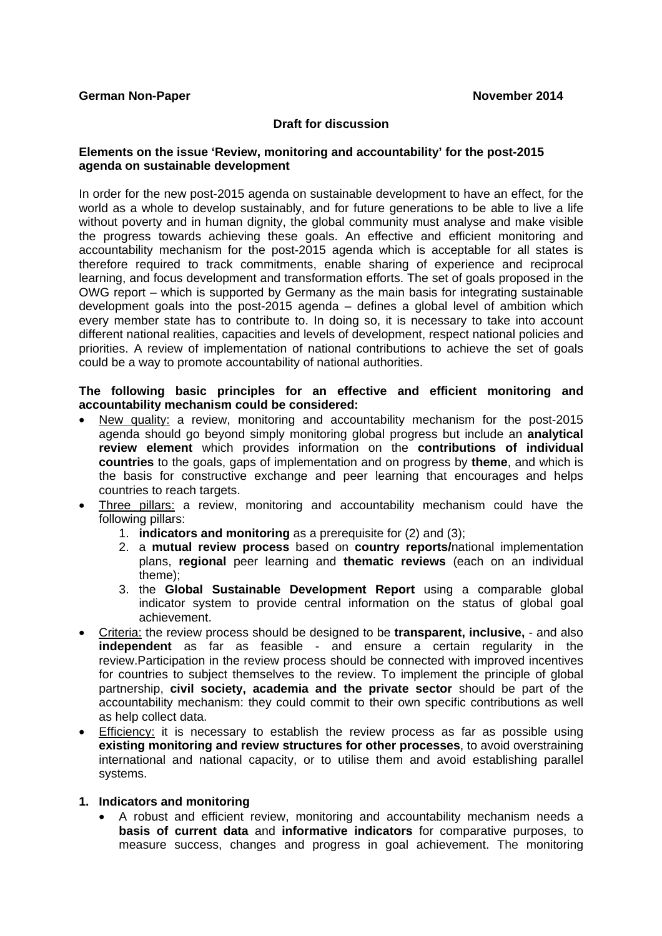### **Draft for discussion**

### **Elements on the issue 'Review, monitoring and accountability' for the post-2015 agenda on sustainable development**

In order for the new post-2015 agenda on sustainable development to have an effect, for the world as a whole to develop sustainably, and for future generations to be able to live a life without poverty and in human dignity, the global community must analyse and make visible the progress towards achieving these goals. An effective and efficient monitoring and accountability mechanism for the post-2015 agenda which is acceptable for all states is therefore required to track commitments, enable sharing of experience and reciprocal learning, and focus development and transformation efforts. The set of goals proposed in the OWG report – which is supported by Germany as the main basis for integrating sustainable development goals into the post-2015 agenda – defines a global level of ambition which every member state has to contribute to. In doing so, it is necessary to take into account different national realities, capacities and levels of development, respect national policies and priorities. A review of implementation of national contributions to achieve the set of goals could be a way to promote accountability of national authorities.

### **The following basic principles for an effective and efficient monitoring and accountability mechanism could be considered:**

- New quality: a review, monitoring and accountability mechanism for the post-2015 agenda should go beyond simply monitoring global progress but include an **analytical review element** which provides information on the **contributions of individual countries** to the goals, gaps of implementation and on progress by **theme**, and which is the basis for constructive exchange and peer learning that encourages and helps countries to reach targets.
- Three pillars: a review, monitoring and accountability mechanism could have the following pillars:
	- 1. **indicators and monitoring** as a prerequisite for (2) and (3);
	- 2. a **mutual review process** based on **country reports/**national implementation plans, **regional** peer learning and **thematic reviews** (each on an individual theme);
	- 3. the **Global Sustainable Development Report** using a comparable global indicator system to provide central information on the status of global goal achievement.
- Criteria: the review process should be designed to be **transparent, inclusive,**  and also **independent** as far as feasible - and ensure a certain regularity in the review.Participation in the review process should be connected with improved incentives for countries to subject themselves to the review. To implement the principle of global partnership, **civil society, academia and the private sector** should be part of the accountability mechanism: they could commit to their own specific contributions as well as help collect data.
- **Efficiency:** it is necessary to establish the review process as far as possible using **existing monitoring and review structures for other processes**, to avoid overstraining international and national capacity, or to utilise them and avoid establishing parallel systems.

### **1. Indicators and monitoring**

• A robust and efficient review, monitoring and accountability mechanism needs a **basis of current data** and **informative indicators** for comparative purposes, to measure success, changes and progress in goal achievement. The monitoring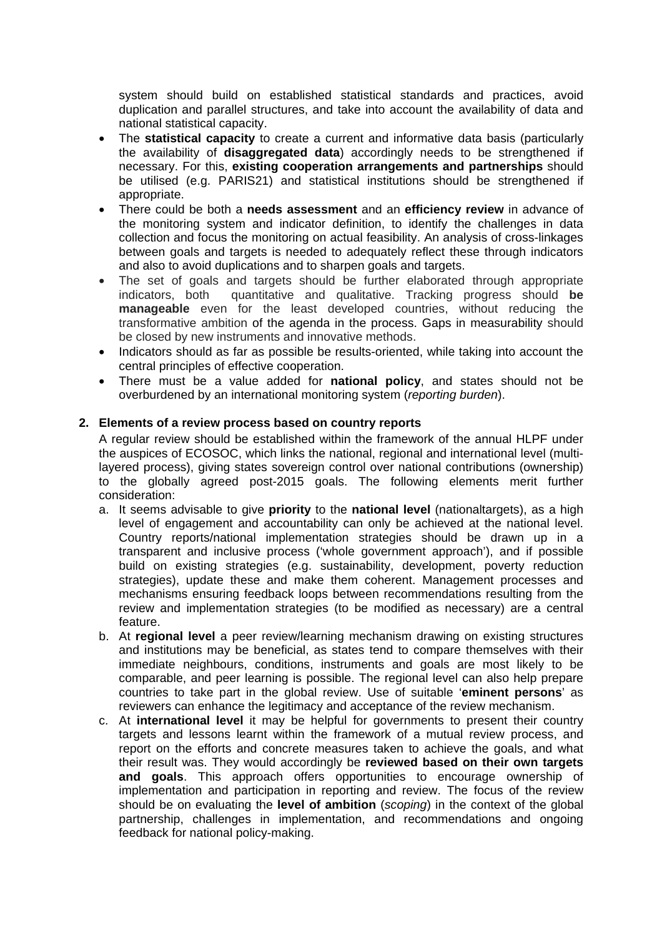system should build on established statistical standards and practices, avoid duplication and parallel structures, and take into account the availability of data and national statistical capacity.

- The **statistical capacity** to create a current and informative data basis (particularly the availability of **disaggregated data**) accordingly needs to be strengthened if necessary. For this, **existing cooperation arrangements and partnerships** should be utilised (e.g. PARIS21) and statistical institutions should be strengthened if appropriate.
- There could be both a **needs assessment** and an **efficiency review** in advance of the monitoring system and indicator definition, to identify the challenges in data collection and focus the monitoring on actual feasibility. An analysis of cross-linkages between goals and targets is needed to adequately reflect these through indicators and also to avoid duplications and to sharpen goals and targets.
- The set of goals and targets should be further elaborated through appropriate indicators, both quantitative and qualitative. Tracking progress should **be manageable** even for the least developed countries, without reducing the transformative ambition of the agenda in the process. Gaps in measurability should be closed by new instruments and innovative methods.
- Indicators should as far as possible be results-oriented, while taking into account the central principles of effective cooperation.
- There must be a value added for **national policy**, and states should not be overburdened by an international monitoring system (*reporting burden*).

# **2. Elements of a review process based on country reports**

A regular review should be established within the framework of the annual HLPF under the auspices of ECOSOC, which links the national, regional and international level (multilayered process), giving states sovereign control over national contributions (ownership) to the globally agreed post-2015 goals. The following elements merit further consideration:

- a. It seems advisable to give **priority** to the **national level** (nationaltargets), as a high level of engagement and accountability can only be achieved at the national level. Country reports/national implementation strategies should be drawn up in a transparent and inclusive process ('whole government approach'), and if possible build on existing strategies (e.g. sustainability, development, poverty reduction strategies), update these and make them coherent. Management processes and mechanisms ensuring feedback loops between recommendations resulting from the review and implementation strategies (to be modified as necessary) are a central feature.
- b. At **regional level** a peer review/learning mechanism drawing on existing structures and institutions may be beneficial, as states tend to compare themselves with their immediate neighbours, conditions, instruments and goals are most likely to be comparable, and peer learning is possible. The regional level can also help prepare countries to take part in the global review. Use of suitable '**eminent persons**' as reviewers can enhance the legitimacy and acceptance of the review mechanism.
- c. At **international level** it may be helpful for governments to present their country targets and lessons learnt within the framework of a mutual review process, and report on the efforts and concrete measures taken to achieve the goals, and what their result was. They would accordingly be **reviewed based on their own targets and goals**. This approach offers opportunities to encourage ownership of implementation and participation in reporting and review. The focus of the review should be on evaluating the **level of ambition** (*scoping*) in the context of the global partnership, challenges in implementation, and recommendations and ongoing feedback for national policy-making.